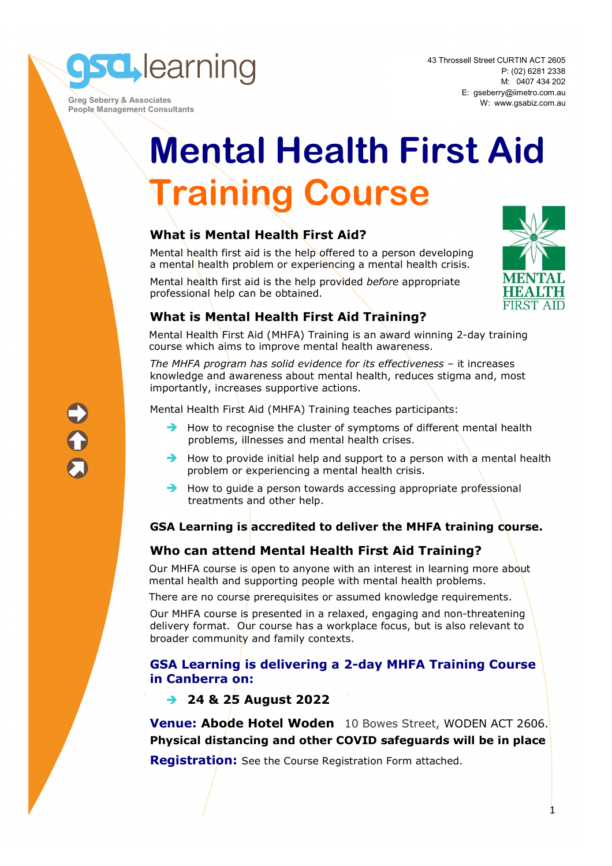**sd** learning

 **Greg Seberry & Associates People Management Consultants**  43 Throssell Street CURTIN ACT 2605 P: (02) 6281 2338 M: 0407 434 202 E: gseberry@iimetro.com.au W: www.gsabiz.com.au

# **Mental Health First Aid Training Course**

# **What is Mental Health First Aid?**

Mental health first aid is the help offered to a person developing a mental health problem or experiencing a mental health crisis.

Mental health first aid is the help provided *before* appropriate professional help can be obtained.



# **What is Mental Health First Aid Training?**

Mental Health First Aid (MHFA) Training is an award winning 2-day training course which aims to improve mental health awareness.

*The MHFA program has solid evidence for its effectiveness* – it increases knowledge and awareness about mental health, reduces stigma and, most importantly, increases supportive actions.

Mental Health First Aid (MHFA) Training teaches participants:

- $\rightarrow$  How to recognise the cluster of symptoms of different mental health problems, illnesses and mental health crises.
- $\rightarrow$  How to provide initial help and support to a person with a mental health problem or experiencing a mental health crisis.
- $\rightarrow$  How to quide a person towards accessing appropriate professional treatments and other help.

# **GSA Learning is accredited to deliver the MHFA training course.**

# **Who can attend Mental Health First Aid Training?**

Our MHFA course is open to anyone with an interest in learning more about mental health and supporting people with mental health problems.

There are no course prerequisites or assumed knowledge requirements.

Our MHFA course is presented in a relaxed, engaging and non-threatening delivery format. Our course has a workplace focus, but is also relevant to broader community and family contexts.

### **GSA Learning is delivering a 2-day MHFA Training Course in Canberra on:**

# **24 & 25 August 2022**

**Venue: Abode Hotel Woden** 10 Bowes Street, WODEN ACT 2606. **Physical distancing and other COVID safeguards will be in place** 

**Registration:** See the Course Registration Form attached.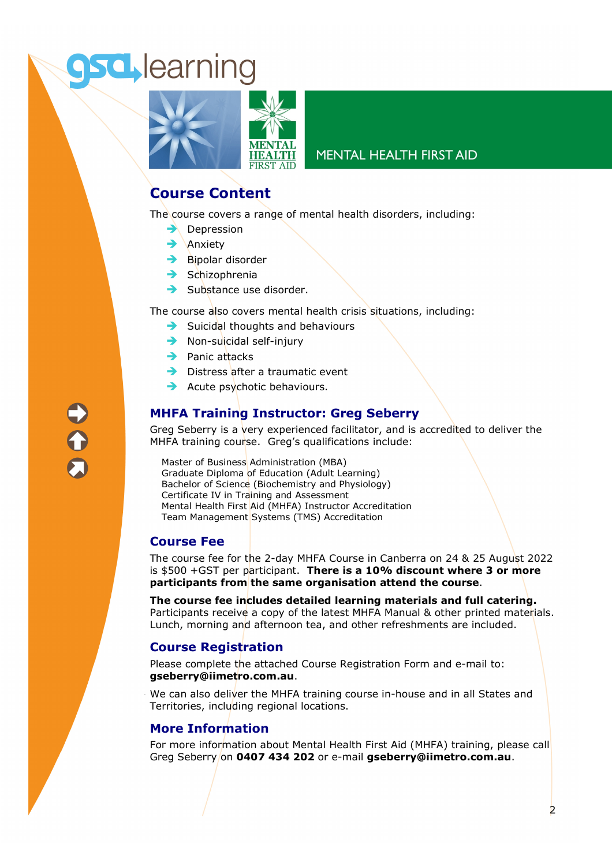# **sd** learning



### **MENTAL HEALTH FIRST AID**

# **Course Content**

The course covers a range of mental health disorders, including:

- $\rightarrow$  Depression
- $\rightarrow$  Anxiety
- $\rightarrow$  Bipolar disorder
- $\rightarrow$  Schizophrenia
- $\rightarrow$  Substance use disorder.

The course also covers mental health crisis situations, including:

- $\rightarrow$  Suicidal thoughts and behaviours
- $\rightarrow$  Non-suicidal self-injury
- $\rightarrow$  Panic attacks
- $\rightarrow$  Distress after a traumatic event
- $\rightarrow$  Acute psychotic behaviours.

# **MHFA Training Instructor: Greg Seberry**

Greg Seberry is a very experienced facilitator, and is accredited to deliver the MHFA training course. Greg's qualifications include:

Master of Business Administration (MBA) Graduate Diploma of Education (Adult Learning) Bachelor of Science (Biochemistry and Physiology) Certificate IV in Training and Assessment Mental Health First Aid (MHFA) Instructor Accreditation Team Management Systems (TMS) Accreditation

### **Course Fee**

The course fee for the 2-day MHFA Course in Canberra on 24 & 25 August 2022 is \$500 +GST per participant. **There is a 10% discount where 3 or more participants from the same organisation attend the course**.

**The course fee includes detailed learning materials and full catering.**  Participants receive a copy of the latest MHFA Manual & other printed materials. Lunch, morning and afternoon tea, and other refreshments are included.

### **Course Registration**

Please complete the attached Course Registration Form and e-mail to: **gseberry@iimetro.com.au**.

We can also deliver the MHFA training course in-house and in all States and Territories, including regional locations.

### **More Information**

For more information about Mental Health First Aid (MHFA) training, please call Greg Seberry on **0407 434 202** or e-mail **gseberry@iimetro.com.au**.